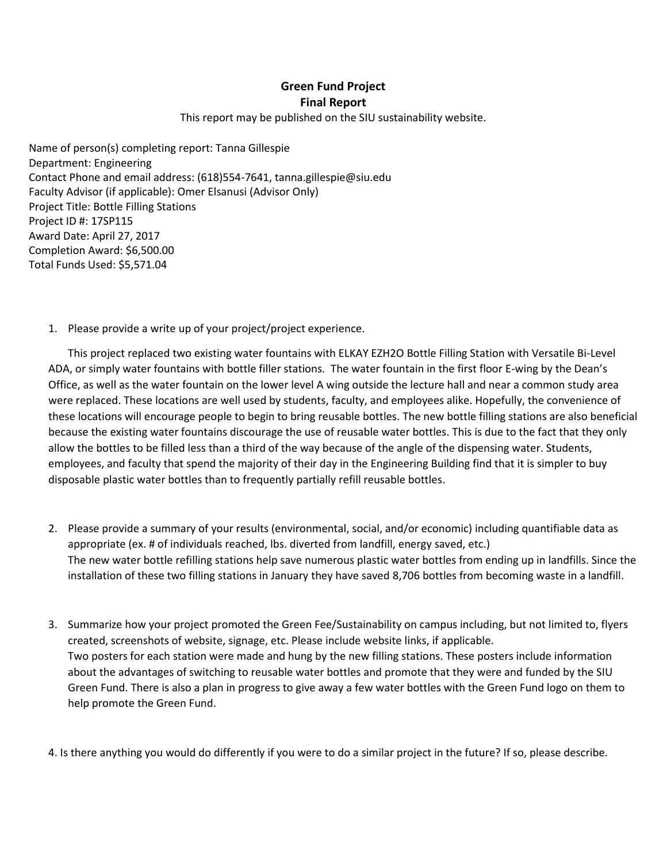## **Green Fund Project Final Report**

This report may be published on the SIU sustainability website.

Name of person(s) completing report: Tanna Gillespie Department: Engineering Contact Phone and email address: (618)554-7641, tanna.gillespie@siu.edu Faculty Advisor (if applicable): Omer Elsanusi (Advisor Only) Project Title: Bottle Filling Stations Project ID #: 17SP115 Award Date: April 27, 2017 Completion Award: \$6,500.00 Total Funds Used: \$5,571.04

1. Please provide a write up of your project/project experience.

This project replaced two existing water fountains with ELKAY EZH2O Bottle Filling Station with Versatile Bi-Level ADA, or simply water fountains with bottle filler stations. The water fountain in the first floor E-wing by the Dean's Office, as well as the water fountain on the lower level A wing outside the lecture hall and near a common study area were replaced. These locations are well used by students, faculty, and employees alike. Hopefully, the convenience of these locations will encourage people to begin to bring reusable bottles. The new bottle filling stations are also beneficial because the existing water fountains discourage the use of reusable water bottles. This is due to the fact that they only allow the bottles to be filled less than a third of the way because of the angle of the dispensing water. Students, employees, and faculty that spend the majority of their day in the Engineering Building find that it is simpler to buy disposable plastic water bottles than to frequently partially refill reusable bottles.

- 2. Please provide a summary of your results (environmental, social, and/or economic) including quantifiable data as appropriate (ex. # of individuals reached, lbs. diverted from landfill, energy saved, etc.) The new water bottle refilling stations help save numerous plastic water bottles from ending up in landfills. Since the installation of these two filling stations in January they have saved 8,706 bottles from becoming waste in a landfill.
- 3. Summarize how your project promoted the Green Fee/Sustainability on campus including, but not limited to, flyers created, screenshots of website, signage, etc. Please include website links, if applicable. Two posters for each station were made and hung by the new filling stations. These posters include information about the advantages of switching to reusable water bottles and promote that they were and funded by the SIU Green Fund. There is also a plan in progress to give away a few water bottles with the Green Fund logo on them to help promote the Green Fund.
- 4. Is there anything you would do differently if you were to do a similar project in the future? If so, please describe.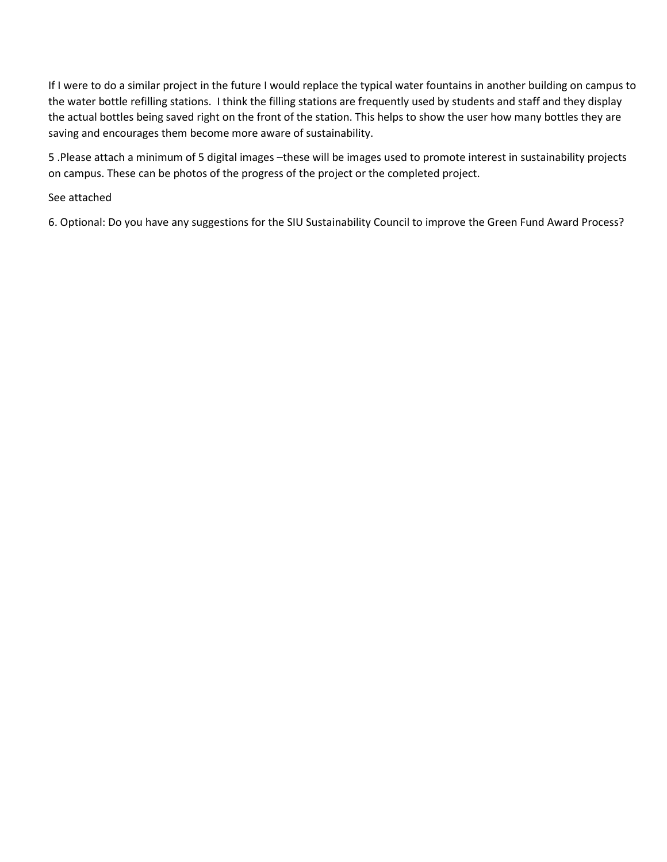If I were to do a similar project in the future I would replace the typical water fountains in another building on campus to the water bottle refilling stations. I think the filling stations are frequently used by students and staff and they display the actual bottles being saved right on the front of the station. This helps to show the user how many bottles they are saving and encourages them become more aware of sustainability.

5 .Please attach a minimum of 5 digital images –these will be images used to promote interest in sustainability projects on campus. These can be photos of the progress of the project or the completed project.

### See attached

6. Optional: Do you have any suggestions for the SIU Sustainability Council to improve the Green Fund Award Process?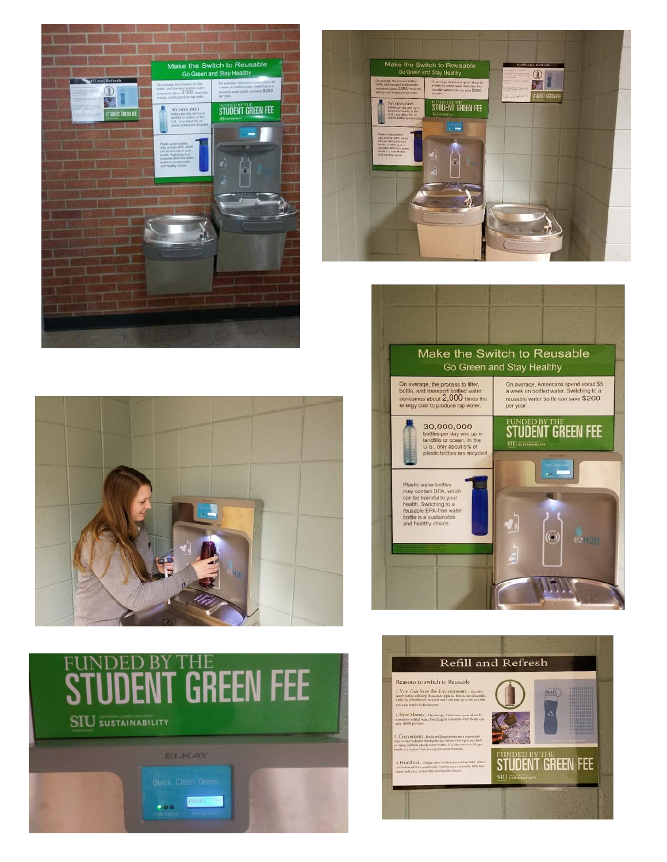









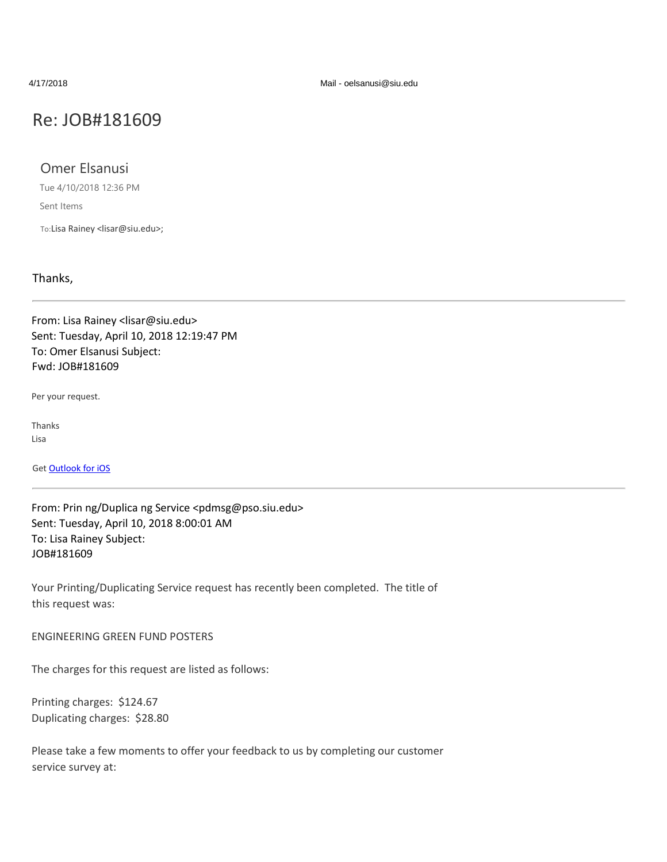# Re: JOB#181609

### Omer Elsanusi

Tue 4/10/2018 12:36 PM

Sent Items

To:Lisa Rainey <lisar@siu.edu>;

#### Thanks,

From: Lisa Rainey <lisar@siu.edu> Sent: Tuesday, April 10, 2018 12:19:47 PM To: Omer Elsanusi Subject: Fwd: JOB#181609

Per your request.

Thanks Lisa

Get Outlook for iOS

From: Prin ng/Duplica ng Service <pdmsg@pso.siu.edu> Sent: Tuesday, April 10, 2018 8:00:01 AM To: Lisa Rainey Subject: JOB#181609

Your Printing/Duplicating Service request has recently been completed. The title of this request was:

ENGINEERING GREEN FUND POSTERS

The charges for this request are listed as follows:

Printing charges: \$124.67 Duplicating charges: \$28.80

Please take a few moments to offer your feedback to us by completing our customer service survey at: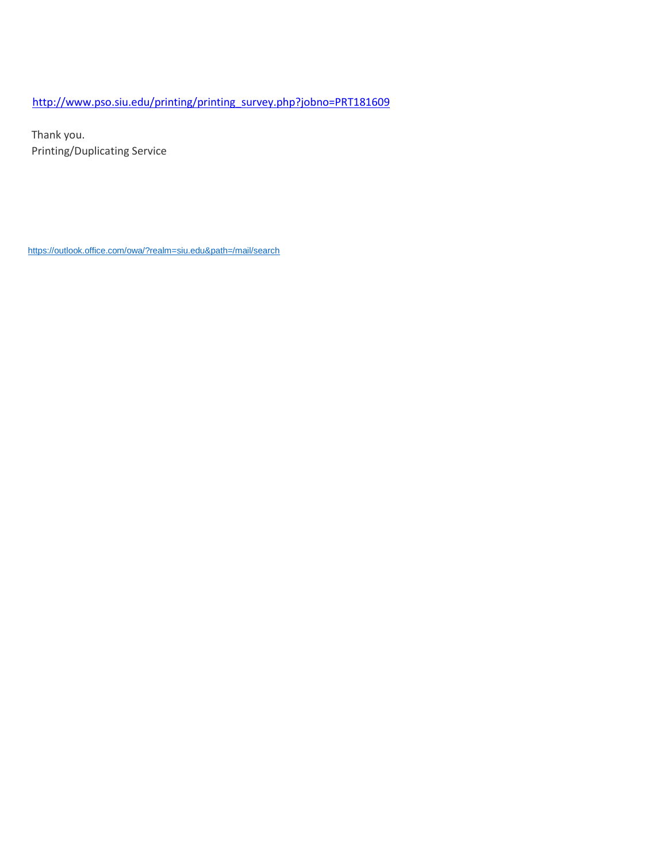http://www.pso.siu.edu/printing/printing\_survey.php?jobno=PRT181609

Thank you. Printing/Duplicating Service

<https://outlook.office.com/owa/?realm=siu.edu&path=/mail/search>